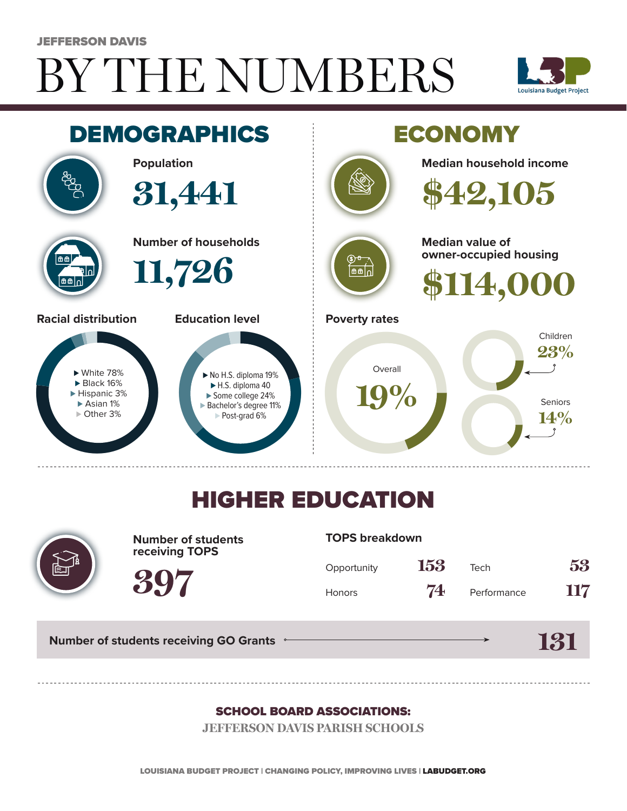# BY THE NUMBERS JEFFERSON DAVIS





## HIGHER EDUCATION



**Number of students receiving TOPS**

#### **TOPS breakdown**

| Opportunity   | 153 | Tech        | 53  |
|---------------|-----|-------------|-----|
| <b>Honors</b> | 74  | Performance | 117 |

**Number of students receiving GO Grants**

**397**

#### **131**

#### SCHOOL BOARD ASSOCIATIONS:

**JEFFERSON DAVIS PARISH SCHOOLS**